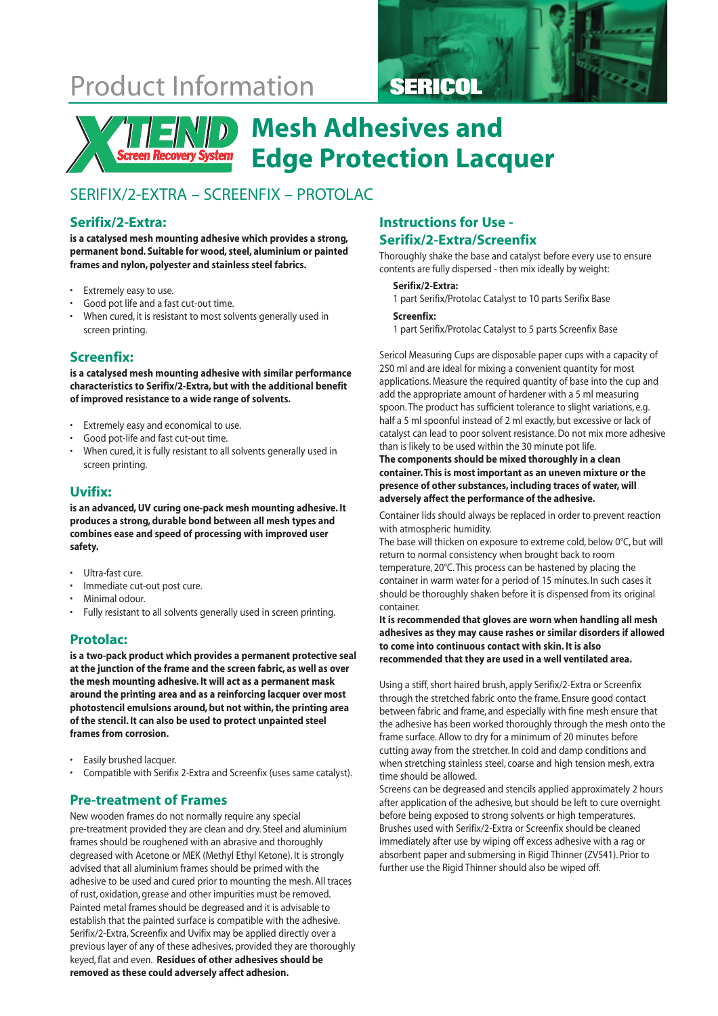## Product Information **SERICOL**





## **Mesh Adhesives and Edge Protection Lacquer**

### SERIFIX/2-EXTRA – SCREENFIX – PROTOLAC

### **Serifix/2-Extra:**

**is a catalysed mesh mounting adhesive which provides a strong, permanent bond. Suitable for wood, steel, aluminium or painted frames and nylon, polyester and stainless steel fabrics.**

- Extremely easy to use.
- Good pot life and a fast cut-out time.
- When cured, it is resistant to most solvents generally used in screen printing.

### **Screenfix:**

**is a catalysed mesh mounting adhesive with similar performance characteristics to Serifix/2-Extra, but with the additional benefit of improved resistance to a wide range of solvents.**

- Extremely easy and economical to use.
- Good pot-life and fast cut-out time.
- When cured, it is fully resistant to all solvents generally used in screen printing.

### **Uvifix:**

**is an advanced, UV curing one-pack mesh mounting adhesive. It produces a strong, durable bond between all mesh types and combines ease and speed of processing with improved user safety.**

- Ultra-fast cure.
- Immediate cut-out post cure.
- Minimal odour.
- Fully resistant to all solvents generally used in screen printing.

### **Protolac:**

**is a two-pack product which provides a permanent protective seal at the junction of the frame and the screen fabric, as well as over the mesh mounting adhesive. It will act as a permanent mask around the printing area and as a reinforcing lacquer over most photostencil emulsions around, but not within, the printing area of the stencil. It can also be used to protect unpainted steel frames from corrosion.**

- Easily brushed lacquer.
- Compatible with Serifix 2-Extra and Screenfix (uses same catalyst).

### **Pre-treatment of Frames**

New wooden frames do not normally require any special pre-treatment provided they are clean and dry. Steel and aluminium frames should be roughened with an abrasive and thoroughly degreased with Acetone or MEK (Methyl Ethyl Ketone). It is strongly advised that all aluminium frames should be primed with the adhesive to be used and cured prior to mounting the mesh. All traces of rust, oxidation, grease and other impurities must be removed. Painted metal frames should be degreased and it is advisable to establish that the painted surface is compatible with the adhesive. Serifix/2-Extra, Screenfix and Uvifix may be applied directly over a previous layer of any of these adhesives, provided they are thoroughly keyed, flat and even. **Residues of other adhesives should be removed as these could adversely affect adhesion.**

### **Instructions for Use -**

### **Serifix/2-Extra/Screenfix**

Thoroughly shake the base and catalyst before every use to ensure contents are fully dispersed - then mix ideally by weight:

#### **Serifix/2-Extra:**

1 part Serifix/Protolac Catalyst to 10 parts Serifix Base

#### **Screenfix:**

1 part Serifix/Protolac Catalyst to 5 parts Screenfix Base

Sericol Measuring Cups are disposable paper cups with a capacity of 250 ml and are ideal for mixing a convenient quantity for most applications. Measure the required quantity of base into the cup and add the appropriate amount of hardener with a 5 ml measuring spoon. The product has sufficient tolerance to slight variations, e.g. half a 5 ml spoonful instead of 2 ml exactly, but excessive or lack of catalyst can lead to poor solvent resistance. Do not mix more adhesive than is likely to be used within the 30 minute pot life.

#### **The components should be mixed thoroughly in a clean container. This is most important as an uneven mixture or the presence of other substances, including traces of water, will adversely affect the performance of the adhesive.**

Container lids should always be replaced in order to prevent reaction with atmospheric humidity.

The base will thicken on exposure to extreme cold, below 0°C, but will return to normal consistency when brought back to room temperature, 20°C. This process can be hastened by placing the container in warm water for a period of 15 minutes. In such cases it should be thoroughly shaken before it is dispensed from its original container.

**It is recommended that gloves are worn when handling all mesh adhesives as they may cause rashes or similar disorders if allowed to come into continuous contact with skin. It is also recommended that they are used in a well ventilated area.**

Using a stiff, short haired brush, apply Serifix/2-Extra or Screenfix through the stretched fabric onto the frame. Ensure good contact between fabric and frame, and especially with fine mesh ensure that the adhesive has been worked thoroughly through the mesh onto the frame surface. Allow to dry for a minimum of 20 minutes before cutting away from the stretcher. In cold and damp conditions and when stretching stainless steel, coarse and high tension mesh, extra time should be allowed.

Screens can be degreased and stencils applied approximately 2 hours after application of the adhesive, but should be left to cure overnight before being exposed to strong solvents or high temperatures. Brushes used with Serifix/2-Extra or Screenfix should be cleaned immediately after use by wiping off excess adhesive with a rag or absorbent paper and submersing in Rigid Thinner (ZV541). Prior to further use the Rigid Thinner should also be wiped off.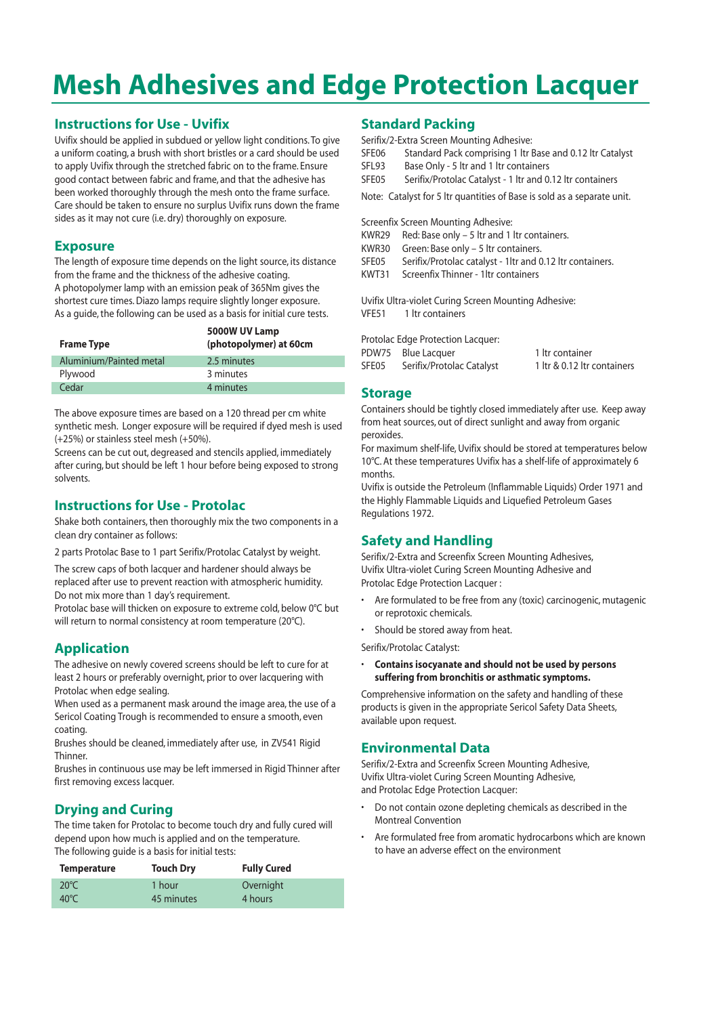# **Mesh Adhesives and Edge Protection Lacquer**

### **Instructions for Use - Uvifix**

Uvifix should be applied in subdued or yellow light conditions. To give a uniform coating, a brush with short bristles or a card should be used to apply Uvifix through the stretched fabric on to the frame. Ensure good contact between fabric and frame, and that the adhesive has been worked thoroughly through the mesh onto the frame surface. Care should be taken to ensure no surplus Uvifix runs down the frame sides as it may not cure (i.e. dry) thoroughly on exposure.

### **Exposure**

The length of exposure time depends on the light source, its distance from the frame and the thickness of the adhesive coating. A photopolymer lamp with an emission peak of 365Nm gives the shortest cure times. Diazo lamps require slightly longer exposure. As a guide, the following can be used as a basis for initial cure tests.

| <b>Frame Type</b>       | 5000W UV Lamp<br>(photopolymer) at 60cm |
|-------------------------|-----------------------------------------|
| Aluminium/Painted metal | 2.5 minutes                             |
| Plywood                 | 3 minutes                               |
| Cedar                   | 4 minutes                               |

The above exposure times are based on a 120 thread per cm white synthetic mesh. Longer exposure will be required if dyed mesh is used (+25%) or stainless steel mesh (+50%).

Screens can be cut out, degreased and stencils applied, immediately after curing, but should be left 1 hour before being exposed to strong solvents.

### **Instructions for Use - Protolac**

Shake both containers, then thoroughly mix the two components in a clean dry container as follows:

2 parts Protolac Base to 1 part Serifix/Protolac Catalyst by weight.

The screw caps of both lacquer and hardener should always be replaced after use to prevent reaction with atmospheric humidity. Do not mix more than 1 day's requirement.

Protolac base will thicken on exposure to extreme cold, below 0°C but will return to normal consistency at room temperature (20°C).

### **Application**

The adhesive on newly covered screens should be left to cure for at least 2 hours or preferably overnight, prior to over lacquering with Protolac when edge sealing.

When used as a permanent mask around the image area, the use of a Sericol Coating Trough is recommended to ensure a smooth, even coating.

Brushes should be cleaned, immediately after use, in ZV541 Rigid Thinner.

Brushes in continuous use may be left immersed in Rigid Thinner after first removing excess lacquer.

### **Drying and Curing**

The time taken for Protolac to become touch dry and fully cured will depend upon how much is applied and on the temperature. The following guide is a basis for initial tests:

| <b>Temperature</b> | <b>Touch Dry</b> | <b>Fully Cured</b> |
|--------------------|------------------|--------------------|
| $20^{\circ}$ C     | 1 hour           | Overnight          |
| $40^{\circ}$ C     | 45 minutes       | 4 hours            |

### **Standard Packing**

Serifix/2-Extra Screen Mounting Adhesive:

- SFE06 Standard Pack comprising 1 ltr Base and 0.12 ltr Catalyst
- SFL93 Base Only 5 ltr and 1 ltr containers

SFE05 Serifix/Protolac Catalyst - 1 ltr and 0.12 ltr containers

Note: Catalyst for 5 ltr quantities of Base is sold as a separate unit.

Screenfix Screen Mounting Adhesive:

- KWR29 Red: Base only 5 ltr and 1 ltr containers.
- KWR30 Green: Base only 5 ltr containers.
- SFE05 Serifix/Protolac catalyst 1ltr and 0.12 ltr containers.
- KWT31 Screenfix Thinner 1ltr containers

Uvifix Ultra-violet Curing Screen Mounting Adhesive: VFE51 1 ltr containers

Protolac Edge Protection Lacquer:

|       | PDW75 Blue Lacquer        | 1 ltr container             |
|-------|---------------------------|-----------------------------|
| SFE05 | Serifix/Protolac Catalyst | 1 ltr & 0.12 ltr containers |

### **Storage**

Containers should be tightly closed immediately after use. Keep away from heat sources, out of direct sunlight and away from organic peroxides.

For maximum shelf-life, Uvifix should be stored at temperatures below 10°C. At these temperatures Uvifix has a shelf-life of approximately 6 months.

Uvifix is outside the Petroleum (Inflammable Liquids) Order 1971 and the Highly Flammable Liquids and Liquefied Petroleum Gases Regulations 1972.

### **Safety and Handling**

Serifix/2-Extra and Screenfix Screen Mounting Adhesives, Uvifix Ultra-violet Curing Screen Mounting Adhesive and Protolac Edge Protection Lacquer :

- Are formulated to be free from any (toxic) carcinogenic, mutagenic or reprotoxic chemicals.
- Should be stored away from heat.

Serifix/Protolac Catalyst:

• **Contains isocyanate and should not be used by persons suffering from bronchitis or asthmatic symptoms.**

Comprehensive information on the safety and handling of these products is given in the appropriate Sericol Safety Data Sheets, available upon request.

### **Environmental Data**

Serifix/2-Extra and Screenfix Screen Mounting Adhesive, Uvifix Ultra-violet Curing Screen Mounting Adhesive, and Protolac Edge Protection Lacquer:

- Do not contain ozone depleting chemicals as described in the Montreal Convention
- Are formulated free from aromatic hydrocarbons which are known to have an adverse effect on the environment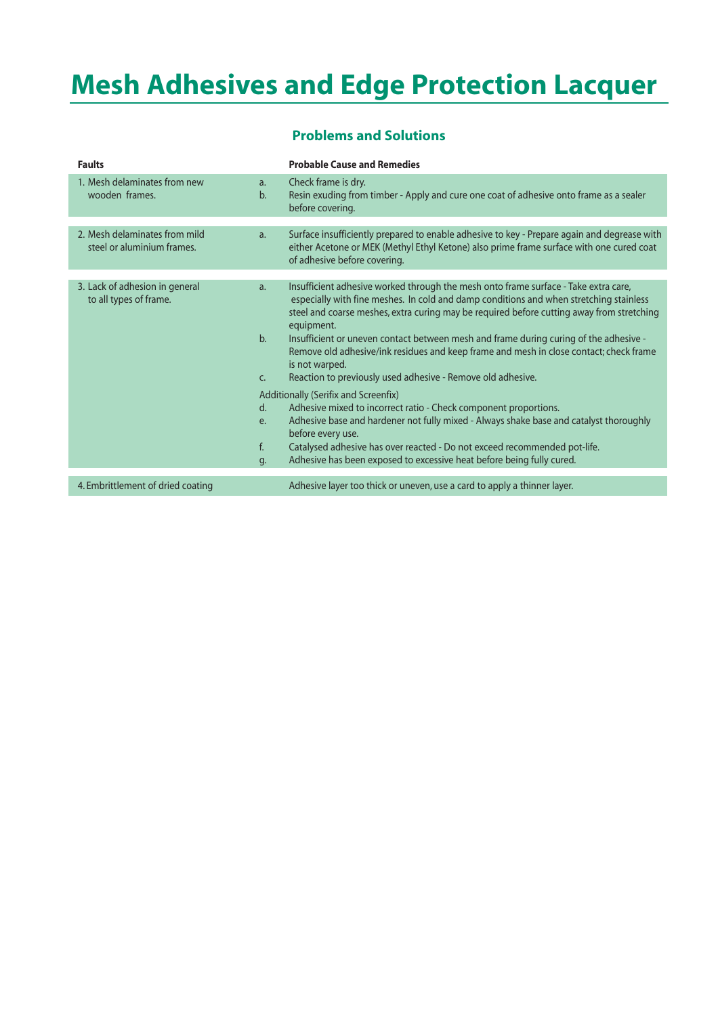# **Mesh Adhesives and Edge Protection Lacquer**

| <b>Faults</b>                                               |                                      | <b>Probable Cause and Remedies</b>                                                                                                                                                                                                                                                                                                                                                                                                                                                                                                                           |
|-------------------------------------------------------------|--------------------------------------|--------------------------------------------------------------------------------------------------------------------------------------------------------------------------------------------------------------------------------------------------------------------------------------------------------------------------------------------------------------------------------------------------------------------------------------------------------------------------------------------------------------------------------------------------------------|
| 1. Mesh delaminates from new<br>wooden frames.              | a.<br>b.                             | Check frame is dry.<br>Resin exuding from timber - Apply and cure one coat of adhesive onto frame as a sealer<br>before covering.                                                                                                                                                                                                                                                                                                                                                                                                                            |
|                                                             |                                      |                                                                                                                                                                                                                                                                                                                                                                                                                                                                                                                                                              |
| 2. Mesh delaminates from mild<br>steel or aluminium frames. | a.                                   | Surface insufficiently prepared to enable adhesive to key - Prepare again and degrease with<br>either Acetone or MEK (Methyl Ethyl Ketone) also prime frame surface with one cured coat<br>of adhesive before covering.                                                                                                                                                                                                                                                                                                                                      |
|                                                             |                                      |                                                                                                                                                                                                                                                                                                                                                                                                                                                                                                                                                              |
| 3. Lack of adhesion in general<br>to all types of frame.    | a <sub>r</sub><br>b.<br>C.           | Insufficient adhesive worked through the mesh onto frame surface - Take extra care,<br>especially with fine meshes. In cold and damp conditions and when stretching stainless<br>steel and coarse meshes, extra curing may be required before cutting away from stretching<br>equipment.<br>Insufficient or uneven contact between mesh and frame during curing of the adhesive -<br>Remove old adhesive/ink residues and keep frame and mesh in close contact; check frame<br>is not warped.<br>Reaction to previously used adhesive - Remove old adhesive. |
|                                                             | Additionally (Serifix and Screenfix) |                                                                                                                                                                                                                                                                                                                                                                                                                                                                                                                                                              |
|                                                             | d.                                   | Adhesive mixed to incorrect ratio - Check component proportions.                                                                                                                                                                                                                                                                                                                                                                                                                                                                                             |
|                                                             | e.                                   | Adhesive base and hardener not fully mixed - Always shake base and catalyst thoroughly<br>before every use.                                                                                                                                                                                                                                                                                                                                                                                                                                                  |
|                                                             | $f_{\cdot}$                          | Catalysed adhesive has over reacted - Do not exceed recommended pot-life.                                                                                                                                                                                                                                                                                                                                                                                                                                                                                    |
|                                                             | g.                                   | Adhesive has been exposed to excessive heat before being fully cured.                                                                                                                                                                                                                                                                                                                                                                                                                                                                                        |
|                                                             |                                      |                                                                                                                                                                                                                                                                                                                                                                                                                                                                                                                                                              |
| 4. Embrittlement of dried coating                           |                                      | Adhesive layer too thick or uneven, use a card to apply a thinner layer.                                                                                                                                                                                                                                                                                                                                                                                                                                                                                     |
|                                                             |                                      |                                                                                                                                                                                                                                                                                                                                                                                                                                                                                                                                                              |

### **Problems and Solutions**